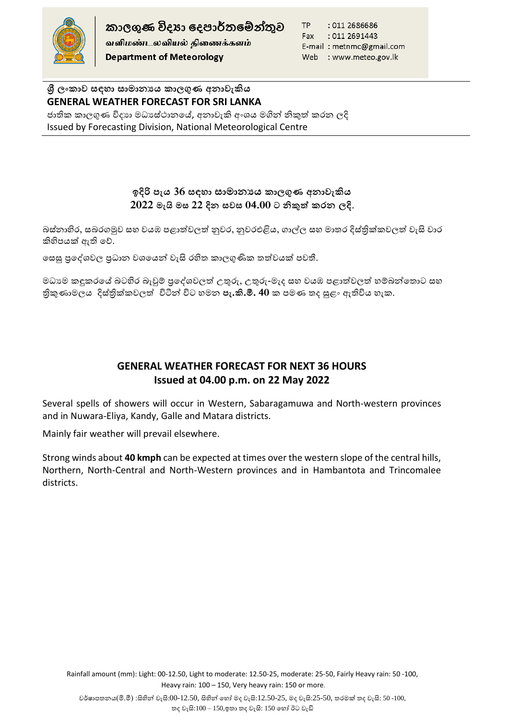

කාලගුණ විදහා දෙපාර්තමේන්තුව வளிமண்டலவியல் திணைக்களம் **Department of Meteorology** 

TP : 011 2686686 Fax : 011 2691443 E-mail: metnmc@gmail.com Web : www.meteo.gov.lk

**ශ්රී ලාකාව සඳහා සාමාන්යය කාලගුණ අන්ාවැකිය GENERAL WEATHER FORECAST FOR SRI LANKA**  ජාතික කාලගුණ විදාහ මධාසේථානයේ, අනාවැකි අංශය මගින් නිකුත් කරන ලදි Issued by Forecasting Division, National Meteorological Centre

## **ඉදිරි පැය 36 සඳහා සාමාන්යය කාලගුණ අන්ාවැකිය 2022 මැයි මස 22 දින් සවස 04.00 ට නිකුත් කරන් ලදි**.

බස්නාහිර, සබරගමුව සහ වයඹ පළාත්වලත් නුවර, නුවරඑළිය, ගාල්ල සහ මාතර දිස්තික්කවලත් වැසි වාර කිහිපයක් ඇති හේ.

හෙසු පුදේශවල පුධාන වශයෙන් වැසි රහිත කාලගුණික තත්වයක් පවතී.

මධාගම කඳුකරයේ බටහිර බෑවුම් පුදේශවලත් උතුරු, උතුරු-මැද සහ වයඹ පළාත්වලත් හම්බන්තොට සහ ිකුණාමාමලය දිස්ික්ලවලත් ටින්න් ටිට මන **පැ.කි.මී. 40** ල පමම තද සුළං ඇතිටිය ැල.

## **GENERAL WEATHER FORECAST FOR NEXT 36 HOURS Issued at 04.00 p.m. on 22 May 2022**

Several spells of showers will occur in Western, Sabaragamuwa and North-western provinces and in Nuwara-Eliya, Kandy, Galle and Matara districts.

Mainly fair weather will prevail elsewhere.

Strong winds about **40 kmph** can be expected at times over the western slope of the central hills, Northern, North-Central and North-Western provinces and in Hambantota and Trincomalee districts.

Rainfall amount (mm): Light: 00-12.50, Light to moderate: 12.50-25, moderate: 25-50, Fairly Heavy rain: 50 -100, Heavy rain: 100 – 150, Very heavy rain: 150 or more.